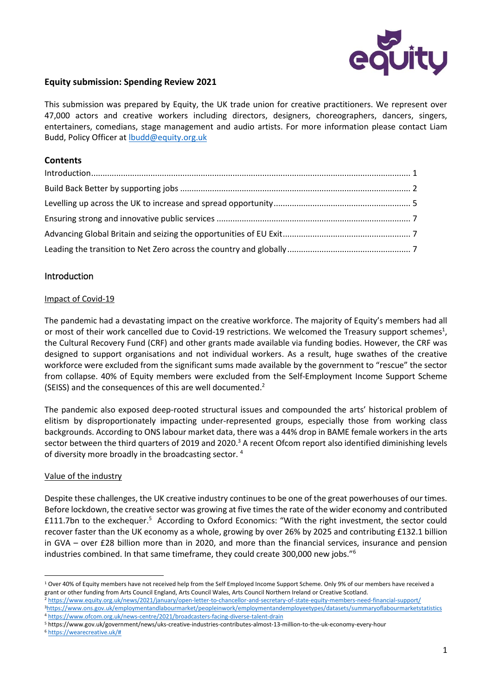

## **Equity submission: Spending Review 2021**

This submission was prepared by Equity, the UK trade union for creative practitioners. We represent over 47,000 actors and creative workers including directors, designers, choreographers, dancers, singers, entertainers, comedians, stage management and audio artists. For more information please contact Liam Budd, Policy Officer a[t lbudd@equity.org.uk](mailto:lbudd@equity.org.uk)

## **Contents**

# <span id="page-0-0"></span>Introduction

### Impact of Covid-19

The pandemic had a devastating impact on the creative workforce. The majority of Equity's members had all or most of their work cancelled due to Covid-19 restrictions. We welcomed the Treasury support schemes<sup>1</sup>, the Cultural Recovery Fund (CRF) and other grants made available via funding bodies. However, the CRF was designed to support organisations and not individual workers. As a result, huge swathes of the creative workforce were excluded from the significant sums made available by the government to "rescue" the sector from collapse. 40% of Equity members were excluded from the Self-Employment Income Support Scheme (SEISS) and the consequences of this are well documented. 2

The pandemic also exposed deep-rooted structural issues and compounded the arts' historical problem of elitism by disproportionately impacting under-represented groups, especially those from working class backgrounds. According to ONS labour market data, there was a 44% drop in BAME female workers in the arts sector between the third quarters of 2019 and 2020.<sup>3</sup> A recent Ofcom report also identified diminishing levels of diversity more broadly in the broadcasting sector. <sup>4</sup>

## Value of the industry

Despite these challenges, the UK creative industry continues to be one of the great powerhouses of our times. Before lockdown, the creative sector was growing at five times the rate of the wider economy and contributed £111.7bn to the exchequer.<sup>5</sup> According to Oxford Economics: "With the right investment, the sector could recover faster than the UK economy as a whole, growing by over 26% by 2025 and contributing £132.1 billion in GVA – over £28 billion more than in 2020, and more than the financial services, insurance and pension industries combined. In that same timeframe, they could create 300,000 new jobs."<sup>6</sup>

1

<sup>&</sup>lt;sup>1</sup> Over 40% of Equity members have not received help from the Self Employed Income Support Scheme. Only 9% of our members have received a grant or other funding from Arts Council England, Arts Council Wales, Arts Council Northern Ireland or Creative Scotland. <sup>2</sup> <https://www.equity.org.uk/news/2021/january/open-letter-to-chancellor-and-secretary-of-state-equity-members-need-financial-support/> <sup>3</sup><https://www.ons.gov.uk/employmentandlabourmarket/peopleinwork/employmentandemployeetypes/datasets/summaryoflabourmarketstatistics>

<sup>4</sup> <https://www.ofcom.org.uk/news-centre/2021/broadcasters-facing-diverse-talent-drain>

<sup>5</sup> https://www.gov.uk/government/news/uks-creative-industries-contributes-almost-13-million-to-the-uk-economy-every-hour

<sup>6</sup> [https://wearecreative.uk/#](https://wearecreative.uk/)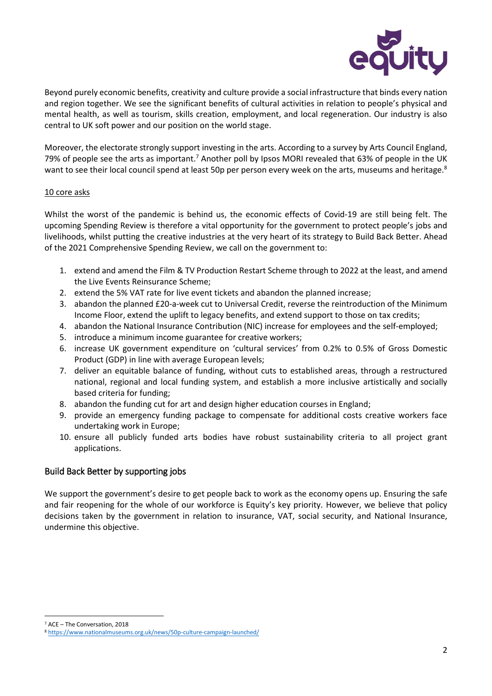

Beyond purely economic benefits, creativity and culture provide a social infrastructure that binds every nation and region together. We see the significant benefits of cultural activities in relation to people's physical and mental health, as well as tourism, skills creation, employment, and local regeneration. Our industry is also central to UK soft power and our position on the world stage.

Moreover, the electorate strongly support investing in the arts. According to a survey by Arts Council England, 79% of people see the arts as important.<sup>7</sup> Another poll by Ipsos MORI revealed that 63% of people in the UK want to see their local council spend at least 50p per person every week on the arts, museums and heritage.<sup>8</sup>

#### 10 core asks

Whilst the worst of the pandemic is behind us, the economic effects of Covid-19 are still being felt. The upcoming Spending Review is therefore a vital opportunity for the government to protect people's jobs and livelihoods, whilst putting the creative industries at the very heart of its strategy to Build Back Better. Ahead of the 2021 Comprehensive Spending Review, we call on the government to:

- 1. extend and amend the Film & TV Production Restart Scheme through to 2022 at the least, and amend the Live Events Reinsurance Scheme;
- 2. extend the 5% VAT rate for live event tickets and abandon the planned increase;
- 3. abandon the planned £20-a-week cut to Universal Credit, reverse the reintroduction of the Minimum Income Floor, extend the uplift to legacy benefits, and extend support to those on tax credits;
- 4. abandon the National Insurance Contribution (NIC) increase for employees and the self-employed;
- 5. introduce a minimum income guarantee for creative workers;
- 6. increase UK government expenditure on 'cultural services' from 0.2% to 0.5% of Gross Domestic Product (GDP) in line with average European levels;
- 7. deliver an equitable balance of funding, without cuts to established areas, through a restructured national, regional and local funding system, and establish a more inclusive artistically and socially based criteria for funding;
- 8. abandon the funding cut for art and design higher education courses in England;
- 9. provide an emergency funding package to compensate for additional costs creative workers face undertaking work in Europe;
- 10. ensure all publicly funded arts bodies have robust sustainability criteria to all project grant applications.

## <span id="page-1-0"></span>Build Back Better by supporting jobs

We support the government's desire to get people back to work as the economy opens up. Ensuring the safe and fair reopening for the whole of our workforce is Equity's key priority. However, we believe that policy decisions taken by the government in relation to insurance, VAT, social security, and National Insurance, undermine this objective.

 $\overline{a}$ <sup>7</sup> ACE – The Conversation, 2018

<sup>8</sup> <https://www.nationalmuseums.org.uk/news/50p-culture-campaign-launched/>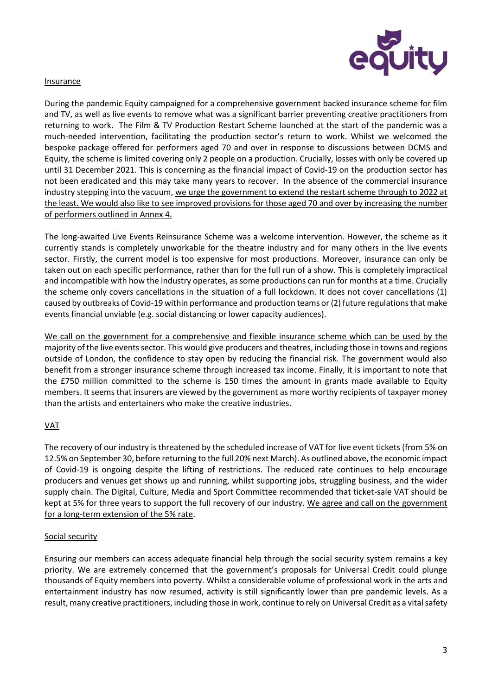

#### Insurance

During the pandemic Equity campaigned for a comprehensive government backed insurance scheme for film and TV, as well as live events to remove what was a significant barrier preventing creative practitioners from returning to work. The Film & TV Production Restart Scheme launched at the start of the pandemic was a much-needed intervention, facilitating the production sector's return to work. Whilst we welcomed the bespoke package offered for performers aged 70 and over in response to discussions between DCMS and Equity, the scheme is limited covering only 2 people on a production. Crucially, losses with only be covered up until 31 December 2021. This is concerning as the financial impact of Covid-19 on the production sector has not been eradicated and this may take many years to recover. In the absence of the commercial insurance industry stepping into the vacuum, we urge the government to extend the restart scheme through to 2022 at the least. We would also like to see improved provisions for those aged 70 and over by increasing the number of performers outlined in Annex 4.

The long-awaited Live Events Reinsurance Scheme was a welcome intervention. However, the scheme as it currently stands is completely unworkable for the theatre industry and for many others in the live events sector. Firstly, the current model is too expensive for most productions. Moreover, insurance can only be taken out on each specific performance, rather than for the full run of a show. This is completely impractical and incompatible with how the industry operates, as some productions can run for months at a time. Crucially the scheme only covers cancellations in the situation of a full lockdown. It does not cover cancellations (1) caused by outbreaks of Covid-19 within performance and production teams or (2) future regulations that make events financial unviable (e.g. social distancing or lower capacity audiences).

We call on the government for a comprehensive and flexible insurance scheme which can be used by the majority of the live events sector. This would give producers and theatres, including those in towns and regions outside of London, the confidence to stay open by reducing the financial risk. The government would also benefit from a stronger insurance scheme through increased tax income. Finally, it is important to note that the £750 million committed to the scheme is 150 times the amount in grants made available to Equity members. It seems that insurers are viewed by the government as more worthy recipients of taxpayer money than the artists and entertainers who make the creative industries.

## VAT

The recovery of our industry is threatened by the scheduled increase of VAT for live event tickets (from 5% on 12.5% on September 30, before returning to the full 20% next March). As outlined above, the economic impact of Covid-19 is ongoing despite the lifting of restrictions. The reduced rate continues to help encourage producers and venues get shows up and running, whilst supporting jobs, struggling business, and the wider supply chain. The Digital, Culture, Media and Sport Committee recommended that ticket-sale VAT should be kept at 5% for three years to support the full recovery of our industry. We agree and call on the government for a long-term extension of the 5% rate.

## Social security

Ensuring our members can access adequate financial help through the social security system remains a key priority. We are extremely concerned that the government's proposals for Universal Credit could plunge thousands of Equity members into poverty. Whilst a considerable volume of professional work in the arts and entertainment industry has now resumed, activity is still significantly lower than pre pandemic levels. As a result, many creative practitioners, including those in work, continue to rely on Universal Credit as a vital safety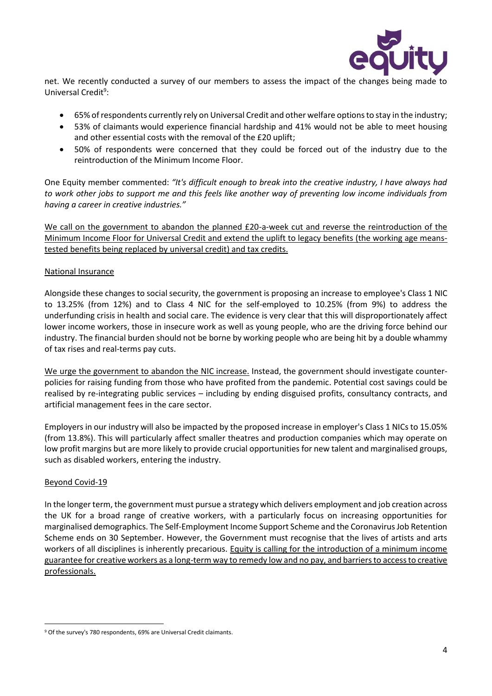

net. We recently conducted a survey of our members to assess the impact of the changes being made to Universal Credit<sup>9</sup>:

- 65% of respondents currently rely on Universal Credit and other welfare optionsto stay in the industry;
- 53% of claimants would experience financial hardship and 41% would not be able to meet housing and other essential costs with the removal of the £20 uplift;
- 50% of respondents were concerned that they could be forced out of the industry due to the reintroduction of the Minimum Income Floor.

One Equity member commented: *"It's difficult enough to break into the creative industry, I have always had to work other jobs to support me and this feels like another way of preventing low income individuals from having a career in creative industries."*

We call on the government to abandon the planned £20-a-week cut and reverse the reintroduction of the Minimum Income Floor for Universal Credit and extend the uplift to legacy benefits (the working age meanstested benefits being replaced by universal credit) and tax credits.

### National Insurance

Alongside these changes to social security, the government is proposing an increase to employee's Class 1 NIC to 13.25% (from 12%) and to Class 4 NIC for the self-employed to 10.25% (from 9%) to address the underfunding crisis in health and social care. The evidence is very clear that this will disproportionately affect lower income workers, those in insecure work as well as young people, who are the driving force behind our industry. The financial burden should not be borne by working people who are being hit by a double whammy of tax rises and real-terms pay cuts.

We urge the government to abandon the NIC increase. Instead, the government should investigate counterpolicies for raising funding from those who have profited from the pandemic. Potential cost savings could be realised by re-integrating public services – including by ending disguised profits, consultancy contracts, and artificial management fees in the care sector.

Employers in our industry will also be impacted by the proposed increase in employer's Class 1 NICs to 15.05% (from 13.8%). This will particularly affect smaller theatres and production companies which may operate on low profit margins but are more likely to provide crucial opportunities for new talent and marginalised groups, such as disabled workers, entering the industry.

#### Beyond Covid-19

 $\overline{a}$ 

In the longer term, the government must pursue a strategy which delivers employment and job creation across the UK for a broad range of creative workers, with a particularly focus on increasing opportunities for marginalised demographics. The Self-Employment Income Support Scheme and the Coronavirus Job Retention Scheme ends on 30 September. However, the Government must recognise that the lives of artists and arts workers of all disciplines is inherently precarious. Equity is calling for the introduction of a minimum income guarantee for creative workers as a long-term way to remedy low and no pay, and barriers to access to creative professionals.

<sup>&</sup>lt;sup>9</sup> Of the survey's 780 respondents, 69% are Universal Credit claimants.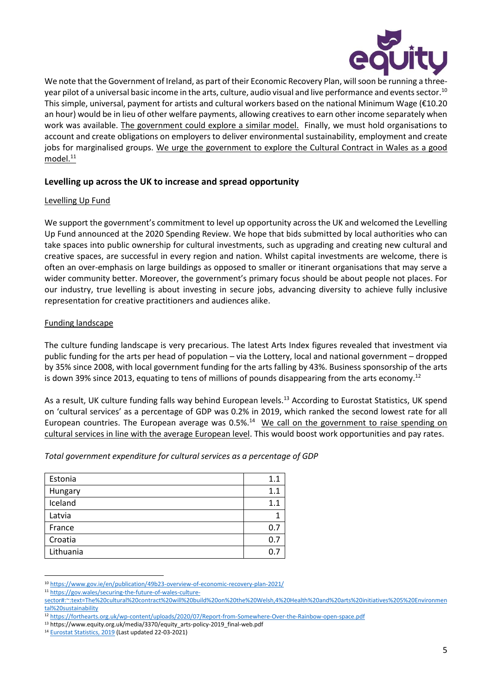

We note that the Government of Ireland, as part of their Economic Recovery Plan, will soon be running a threeyear pilot of a universal basic income in the arts, culture, audio visual and live performance and events sector.<sup>10</sup> This simple, universal, payment for artists and cultural workers based on the national Minimum Wage (€10.20 an hour) would be in lieu of other welfare payments, allowing creatives to earn other income separately when work was available. The government could explore a similar model. Finally, we must hold organisations to account and create obligations on employers to deliver environmental sustainability, employment and create jobs for marginalised groups. We urge the government to explore the Cultural Contract in Wales as a good  $model.<sup>11</sup>$ 

# <span id="page-4-0"></span>**Levelling up across the UK to increase and spread opportunity**

### Levelling Up Fund

We support the government's commitment to level up opportunity across the UK and welcomed the Levelling Up Fund announced at the 2020 Spending Review. We hope that bids submitted by local authorities who can take spaces into public ownership for cultural investments, such as upgrading and creating new cultural and creative spaces, are successful in every region and nation. Whilst capital investments are welcome, there is often an over-emphasis on large buildings as opposed to smaller or itinerant organisations that may serve a wider community better. Moreover, the government's primary focus should be about people not places. For our industry, true levelling is about investing in secure jobs, advancing diversity to achieve fully inclusive representation for creative practitioners and audiences alike.

### Funding landscape

The culture funding landscape is very precarious. The latest Arts Index figures revealed that investment via public funding for the arts per head of population – via the Lottery, local and national government – dropped by 35% since 2008, with local government funding for the arts falling by 43%. Business sponsorship of the arts is down 39% since 2013, equating to tens of millions of pounds disappearing from the arts economy.<sup>12</sup>

As a result, UK culture funding falls way behind European levels.<sup>13</sup> According to Eurostat Statistics, UK spend on 'cultural services' as a percentage of GDP was 0.2% in 2019, which ranked the second lowest rate for all European countries. The European average was 0.5%.<sup>14</sup> We call on the government to raise spending on cultural services in line with the average European level. This would boost work opportunities and pay rates.

| Total government expenditure for cultural services as a percentage of GDP |  |  |
|---------------------------------------------------------------------------|--|--|
|                                                                           |  |  |

| Estonia   | 1.1 |
|-----------|-----|
| Hungary   | 1.1 |
| Iceland   | 1.1 |
| Latvia    |     |
| France    | 0.7 |
| Croatia   | 0.7 |
| Lithuania |     |

<sup>1</sup> <sup>10</sup> <https://www.gov.ie/en/publication/49b23-overview-of-economic-recovery-plan-2021/>

<sup>11</sup> [https://gov.wales/securing-the-future-of-wales-culture-](https://gov.wales/securing-the-future-of-wales-culture-sector#:~:text=The%20cultural%20contract%20will%20build%20on%20the%20Welsh,4%20Health%20and%20arts%20initiatives%205%20Environmental%20sustainability)

[sector#:~:text=The%20cultural%20contract%20will%20build%20on%20the%20Welsh,4%20Health%20and%20arts%20initiatives%205%20Environmen](https://gov.wales/securing-the-future-of-wales-culture-sector#:~:text=The%20cultural%20contract%20will%20build%20on%20the%20Welsh,4%20Health%20and%20arts%20initiatives%205%20Environmental%20sustainability) [tal%20sustainability](https://gov.wales/securing-the-future-of-wales-culture-sector#:~:text=The%20cultural%20contract%20will%20build%20on%20the%20Welsh,4%20Health%20and%20arts%20initiatives%205%20Environmental%20sustainability)

<sup>12</sup> <https://forthearts.org.uk/wp-content/uploads/2020/07/Report-from-Somewhere-Over-the-Rainbow-open-space.pdf>

<sup>&</sup>lt;sup>13</sup> https://www.equity.org.uk/media/3370/equity\_arts-policy-2019\_final-web.pdf

<sup>&</sup>lt;sup>14</sup> [Eurostat Statistics, 2019](https://appsso.eurostat.ec.europa.eu/nui/show.do?query=BOOKMARK_DS-471197_QID_-B6814C2_UID_-3F171EB0&layout=TIME,C,X,0;GEO,L,Y,0;SECTOR,L,Z,0;COFOG99,L,Z,1;NA_ITEM,L,Z,2;UNIT,L,Z,3;INDICATORS,C,Z,4;&zSelection=DS-471197INDICATORS,OBS_FLAG;DS-471197UNIT,MIO_EUR;DS-471197SECTOR,S13;DS-471197COFOG99,GF0802;DS-471197NA_ITEM,TE;&rankName1=INDICATORS_1_2_-1_2&rankName2=NA-ITEM_1_2_-1_2&rankName3=COFOG99_1_2_0_0&rankName4=SECTOR_1_2_0_0&rankName5=UNIT_1_2_0_0&rankName6=TIME_1_0_0_0&rankName7=GEO_1_2_0_1&sortC=ASC_-1_FIRST&rStp=&cStp=&rDCh=&cDCh=&rDM=true&cDM=true&footnes=false&empty=false&wai=false&time_mode=ROLLING&time_most_recent=true&lang=EN&cfo=%23%23%23%2C%23%23%23.%23%23%23&eub_bm=gov_10a_exp$DV_578&lang=en) (Last updated 22-03-2021)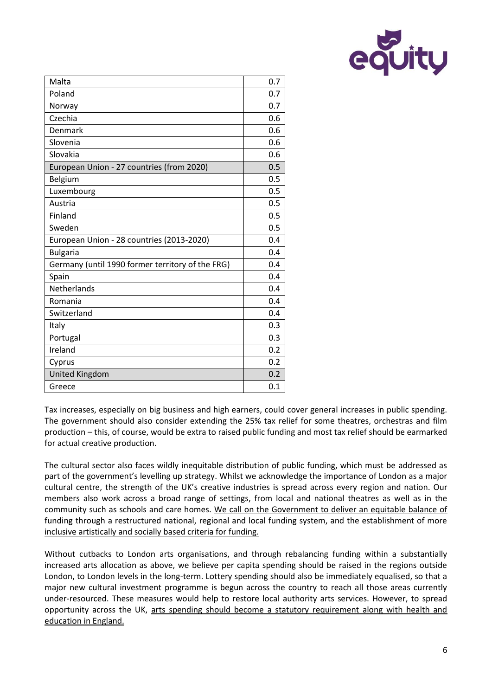

| Malta                                            | 0.7 |
|--------------------------------------------------|-----|
| Poland                                           | 0.7 |
| Norway                                           | 0.7 |
| Czechia                                          | 0.6 |
| Denmark                                          | 0.6 |
| Slovenia                                         | 0.6 |
| Slovakia                                         | 0.6 |
| European Union - 27 countries (from 2020)        | 0.5 |
| Belgium                                          | 0.5 |
| Luxembourg                                       | 0.5 |
| Austria                                          | 0.5 |
| Finland                                          | 0.5 |
| Sweden                                           | 0.5 |
| European Union - 28 countries (2013-2020)        | 0.4 |
| <b>Bulgaria</b>                                  | 0.4 |
| Germany (until 1990 former territory of the FRG) | 0.4 |
| Spain                                            | 0.4 |
| Netherlands                                      | 0.4 |
| Romania                                          | 0.4 |
| Switzerland                                      | 0.4 |
| Italy                                            | 0.3 |
| Portugal                                         | 0.3 |
| Ireland                                          | 0.2 |
| Cyprus                                           | 0.2 |
| <b>United Kingdom</b>                            | 0.2 |
| Greece                                           | 0.1 |

Tax increases, especially on big business and high earners, could cover general increases in public spending. The government should also consider extending the 25% tax relief for some theatres, orchestras and film production – this, of course, would be extra to raised public funding and most tax relief should be earmarked for actual creative production.

The cultural sector also faces wildly inequitable distribution of public funding, which must be addressed as part of the government's levelling up strategy. Whilst we acknowledge the importance of London as a major cultural centre, the strength of the UK's creative industries is spread across every region and nation. Our members also work across a broad range of settings, from local and national theatres as well as in the community such as schools and care homes. We call on the Government to deliver an equitable balance of funding through a restructured national, regional and local funding system, and the establishment of more inclusive artistically and socially based criteria for funding.

Without cutbacks to London arts organisations, and through rebalancing funding within a substantially increased arts allocation as above, we believe per capita spending should be raised in the regions outside London, to London levels in the long-term. Lottery spending should also be immediately equalised, so that a major new cultural investment programme is begun across the country to reach all those areas currently under-resourced. These measures would help to restore local authority arts services. However, to spread opportunity across the UK, arts spending should become a statutory requirement along with health and education in England.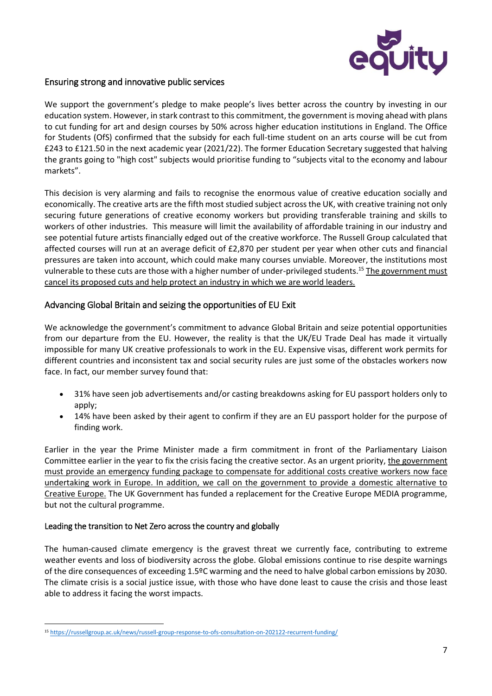

# <span id="page-6-0"></span>Ensuring strong and innovative public services

We support the government's pledge to make people's lives better across the country by investing in our education system. However, in stark contrast to this commitment, the government is moving ahead with plans to cut funding for art and design courses by 50% across higher education institutions in England. The Office for Students (OfS) confirmed that the subsidy for each full-time student on an arts course will be cut from £243 to £121.50 in the next academic year (2021/22). The former Education Secretary suggested that halving the grants going to "high cost" subjects would prioritise funding to "subjects vital to the economy and labour markets".

This decision is very alarming and fails to recognise the enormous value of creative education socially and economically. The creative arts are the fifth most studied subject across the UK, with creative training not only securing future generations of creative economy workers but providing transferable training and skills to workers of other industries. This measure will limit the availability of affordable training in our industry and see potential future artists financially edged out of the creative workforce. The Russell Group calculated that affected courses will run at an average deficit of £2,870 per student per year when other cuts and financial pressures are taken into account, which could make many courses unviable. Moreover, the institutions most vulnerable to these cuts are those with a higher number of under-privileged students.<sup>15</sup> The government must cancel its proposed cuts and help protect an industry in which we are world leaders.

# <span id="page-6-1"></span>Advancing Global Britain and seizing the opportunities of EU Exit

We acknowledge the government's commitment to advance Global Britain and seize potential opportunities from our departure from the EU. However, the reality is that the UK/EU Trade Deal has made it virtually impossible for many UK creative professionals to work in the EU. Expensive visas, different work permits for different countries and inconsistent tax and social security rules are just some of the obstacles workers now face. In fact, our member survey found that:

- 31% have seen job advertisements and/or casting breakdowns asking for EU passport holders only to apply;
- 14% have been asked by their agent to confirm if they are an EU passport holder for the purpose of finding work.

Earlier in the year the Prime Minister made a firm commitment in front of the Parliamentary Liaison Committee earlier in the year to fix the crisis facing the creative sector. As an urgent priority, the government must provide an emergency funding package to compensate for additional costs creative workers now face undertaking work in Europe. In addition, we call on the government to provide a domestic alternative to Creative Europe. The UK Government has funded a replacement for the Creative Europe MEDIA programme, but not the cultural programme.

## <span id="page-6-2"></span>Leading the transition to Net Zero across the country and globally

The human-caused climate emergency is the gravest threat we currently face, contributing to extreme weather events and loss of biodiversity across the globe. Global emissions continue to rise despite warnings of the dire consequences of exceeding 1.5ºC warming and the need to halve global carbon emissions by 2030. The climate crisis is a social justice issue, with those who have done least to cause the crisis and those least able to address it facing the worst impacts.

 $\overline{a}$ <sup>15</sup> <https://russellgroup.ac.uk/news/russell-group-response-to-ofs-consultation-on-202122-recurrent-funding/>